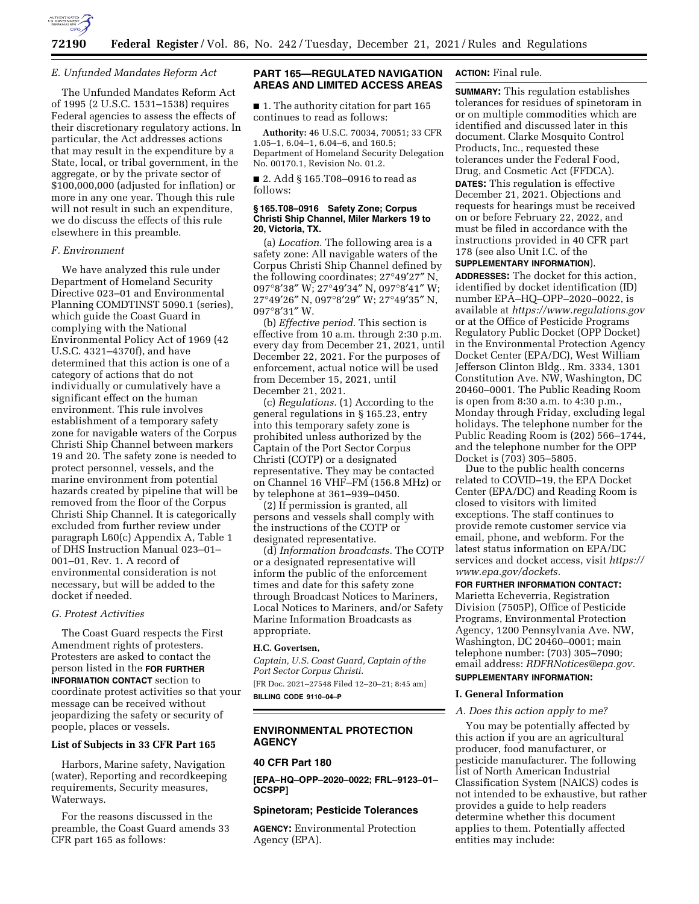

### *E. Unfunded Mandates Reform Act*

The Unfunded Mandates Reform Act of 1995 (2 U.S.C. 1531–1538) requires Federal agencies to assess the effects of their discretionary regulatory actions. In particular, the Act addresses actions that may result in the expenditure by a State, local, or tribal government, in the aggregate, or by the private sector of \$100,000,000 (adjusted for inflation) or more in any one year. Though this rule will not result in such an expenditure, we do discuss the effects of this rule elsewhere in this preamble.

### *F. Environment*

We have analyzed this rule under Department of Homeland Security Directive 023–01 and Environmental Planning COMDTINST 5090.1 (series), which guide the Coast Guard in complying with the National Environmental Policy Act of 1969 (42 U.S.C. 4321–4370f), and have determined that this action is one of a category of actions that do not individually or cumulatively have a significant effect on the human environment. This rule involves establishment of a temporary safety zone for navigable waters of the Corpus Christi Ship Channel between markers 19 and 20. The safety zone is needed to protect personnel, vessels, and the marine environment from potential hazards created by pipeline that will be removed from the floor of the Corpus Christi Ship Channel. It is categorically excluded from further review under paragraph L60(c) Appendix A, Table 1 of DHS Instruction Manual 023–01– 001–01, Rev. 1. A record of environmental consideration is not necessary, but will be added to the docket if needed.

### *G. Protest Activities*

The Coast Guard respects the First Amendment rights of protesters. Protesters are asked to contact the person listed in the **FOR FURTHER INFORMATION CONTACT** section to coordinate protest activities so that your message can be received without jeopardizing the safety or security of people, places or vessels.

#### **List of Subjects in 33 CFR Part 165**

Harbors, Marine safety, Navigation (water), Reporting and recordkeeping requirements, Security measures, Waterways.

For the reasons discussed in the preamble, the Coast Guard amends 33 CFR part 165 as follows:

# **PART 165—REGULATED NAVIGATION AREAS AND LIMITED ACCESS AREAS**

■ 1. The authority citation for part 165 continues to read as follows:

**Authority:** 46 U.S.C. 70034, 70051; 33 CFR 1.05–1, 6.04–1, 6.04–6, and 160.5; Department of Homeland Security Delegation No. 00170.1, Revision No. 01.2.

■ 2. Add § 165.T08–0916 to read as follows:

#### **§ 165.T08–0916 Safety Zone; Corpus Christi Ship Channel, Miler Markers 19 to 20, Victoria, TX.**

(a) *Location.* The following area is a safety zone: All navigable waters of the Corpus Christi Ship Channel defined by the following coordinates; 27°49′27″ N, 097°8′38″ W; 27°49′34″ N, 097°8′41″ W; 27°49′26″ N, 097°8′29″ W; 27°49′35″ N, 097°8′31″ W.

(b) *Effective period.* This section is effective from 10 a.m. through 2:30 p.m. every day from December 21, 2021, until December 22, 2021. For the purposes of enforcement, actual notice will be used from December 15, 2021, until December 21, 2021.

(c) *Regulations.* (1) According to the general regulations in § 165.23, entry into this temporary safety zone is prohibited unless authorized by the Captain of the Port Sector Corpus Christi (COTP) or a designated representative. They may be contacted on Channel 16 VHF–FM (156.8 MHz) or by telephone at 361–939–0450.

(2) If permission is granted, all persons and vessels shall comply with the instructions of the COTP or designated representative.

(d) *Information broadcasts.* The COTP or a designated representative will inform the public of the enforcement times and date for this safety zone through Broadcast Notices to Mariners, Local Notices to Mariners, and/or Safety Marine Information Broadcasts as appropriate.

#### **H.C. Govertsen,**

*Captain, U.S. Coast Guard, Captain of the Port Sector Corpus Christi.*  [FR Doc. 2021–27548 Filed 12–20–21; 8:45 am] **BILLING CODE 9110–04–P** 

# **ENVIRONMENTAL PROTECTION AGENCY**

### **40 CFR Part 180**

**[EPA–HQ–OPP–2020–0022; FRL–9123–01– OCSPP]** 

# **Spinetoram; Pesticide Tolerances**

**AGENCY:** Environmental Protection Agency (EPA).

# **ACTION:** Final rule.

**SUMMARY:** This regulation establishes tolerances for residues of spinetoram in or on multiple commodities which are identified and discussed later in this document. Clarke Mosquito Control Products, Inc., requested these tolerances under the Federal Food, Drug, and Cosmetic Act (FFDCA). **DATES:** This regulation is effective December 21, 2021. Objections and requests for hearings must be received on or before February 22, 2022, and must be filed in accordance with the instructions provided in 40 CFR part 178 (see also Unit I.C. of the **SUPPLEMENTARY INFORMATION**).

**ADDRESSES:** The docket for this action, identified by docket identification (ID) number EPA–HQ–OPP–2020–0022, is available at *<https://www.regulations.gov>* or at the Office of Pesticide Programs Regulatory Public Docket (OPP Docket) in the Environmental Protection Agency Docket Center (EPA/DC), West William Jefferson Clinton Bldg., Rm. 3334, 1301 Constitution Ave. NW, Washington, DC 20460–0001. The Public Reading Room is open from 8:30 a.m. to 4:30 p.m., Monday through Friday, excluding legal holidays. The telephone number for the Public Reading Room is (202) 566–1744, and the telephone number for the OPP Docket is (703) 305–5805.

Due to the public health concerns related to COVID–19, the EPA Docket Center (EPA/DC) and Reading Room is closed to visitors with limited exceptions. The staff continues to provide remote customer service via email, phone, and webform. For the latest status information on EPA/DC services and docket access, visit *[https://](https://www.epa.gov/dockets) [www.epa.gov/dockets.](https://www.epa.gov/dockets)* 

**FOR FURTHER INFORMATION CONTACT:**  Marietta Echeverria, Registration Division (7505P), Office of Pesticide Programs, Environmental Protection Agency, 1200 Pennsylvania Ave. NW, Washington, DC 20460–0001; main telephone number: (703) 305–7090; email address: *[RDFRNotices@epa.gov.](mailto:RDFRNotices@epa.gov)*  **SUPPLEMENTARY INFORMATION:** 

# **I. General Information**

### *A. Does this action apply to me?*

You may be potentially affected by this action if you are an agricultural producer, food manufacturer, or pesticide manufacturer. The following list of North American Industrial Classification System (NAICS) codes is not intended to be exhaustive, but rather provides a guide to help readers determine whether this document applies to them. Potentially affected entities may include: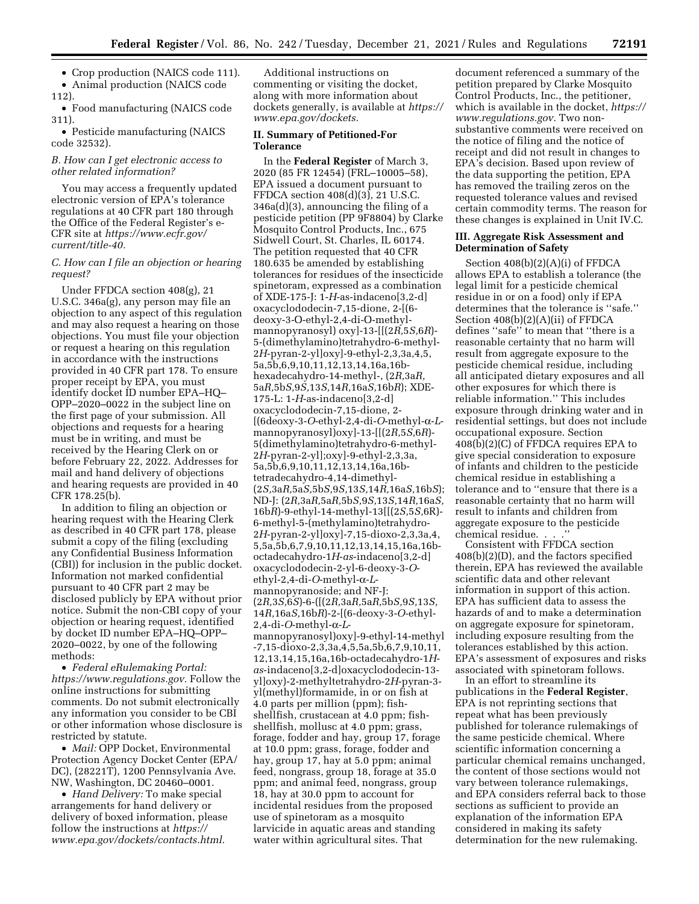• Crop production (NAICS code 111).

• Animal production (NAICS code 112).

• Food manufacturing (NAICS code 311).

• Pesticide manufacturing (NAICS code 32532).

# *B. How can I get electronic access to other related information?*

You may access a frequently updated electronic version of EPA's tolerance regulations at 40 CFR part 180 through the Office of the Federal Register's e-CFR site at *[https://www.ecfr.gov/](https://www.ecfr.gov/current/title-40) [current/title-40.](https://www.ecfr.gov/current/title-40)* 

### *C. How can I file an objection or hearing request?*

Under FFDCA section 408(g), 21 U.S.C. 346a(g), any person may file an objection to any aspect of this regulation and may also request a hearing on those objections. You must file your objection or request a hearing on this regulation in accordance with the instructions provided in 40 CFR part 178. To ensure proper receipt by EPA, you must identify docket ID number EPA–HQ– OPP–2020–0022 in the subject line on the first page of your submission. All objections and requests for a hearing must be in writing, and must be received by the Hearing Clerk on or before February 22, 2022. Addresses for mail and hand delivery of objections and hearing requests are provided in 40 CFR 178.25(b).

In addition to filing an objection or hearing request with the Hearing Clerk as described in 40 CFR part 178, please submit a copy of the filing (excluding any Confidential Business Information (CBI)) for inclusion in the public docket. Information not marked confidential pursuant to 40 CFR part 2 may be disclosed publicly by EPA without prior notice. Submit the non-CBI copy of your objection or hearing request, identified by docket ID number EPA–HQ–OPP– 2020–0022, by one of the following methods:

• *Federal eRulemaking Portal: [https://www.regulations.gov.](https://www.regulations.gov)* Follow the online instructions for submitting comments. Do not submit electronically any information you consider to be CBI or other information whose disclosure is restricted by statute.

• *Mail:* OPP Docket, Environmental Protection Agency Docket Center (EPA/ DC), (28221T), 1200 Pennsylvania Ave. NW, Washington, DC 20460–0001.

• *Hand Delivery:* To make special arrangements for hand delivery or delivery of boxed information, please follow the instructions at *[https://](https://www.epa.gov/dockets/contacts.html) [www.epa.gov/dockets/contacts.html.](https://www.epa.gov/dockets/contacts.html)* 

Additional instructions on commenting or visiting the docket, along with more information about dockets generally, is available at *[https://](https://www.epa.gov/dockets) [www.epa.gov/dockets.](https://www.epa.gov/dockets)* 

# **II. Summary of Petitioned-For Tolerance**

In the **Federal Register** of March 3, 2020 (85 FR 12454) (FRL–10005–58), EPA issued a document pursuant to FFDCA section 408(d)(3), 21 U.S.C. 346a(d)(3), announcing the filing of a pesticide petition (PP 9F8804) by Clarke Mosquito Control Products, Inc., 675 Sidwell Court, St. Charles, IL 60174. The petition requested that 40 CFR 180.635 be amended by establishing tolerances for residues of the insecticide spinetoram, expressed as a combination of XDE-175-J: 1-*H*-as-indaceno[3,2-d] oxacyclododecin-7,15-dione, 2-[(6 deoxy-3-O-ethyl-2,4-di-O-methylmannopyranosyl) oxy]-13-[[(2*R,*5*S,*6*R*)- 5-(dimethylamino)tetrahydro-6-methyl-2*H*-pyran-2-yl]oxy]-9-ethyl-2,3,3a,4,5, 5a,5b,6,9,10,11,12,13,14,16a,16bhexadecahydro-14-methyl-, (2*R,*3a*R,*  5a*R,*5b*S,*9*S,*13*S,*14*R,*16a*S,*16b*R*); XDE-175-L: 1-*H*-as-indaceno[3,2-d] oxacyclododecin-7,15-dione, 2- [(6deoxy-3-*O*-ethyl-2,4-di-*O*-methyl-a-*L*mannopyranosyl)oxy]-13-[[(2*R,*5*S,*6*R*)- 5(dimethylamino)tetrahydro-6-methyl-2*H*-pyran-2-yl];oxy]-9-ethyl-2,3,3a, 5a,5b,6,9,10,11,12,13,14,16a,16btetradecahydro-4,14-dimethyl- (2*S,*3a*R,*5a*S,*5b*S,*9*S,*13*S,*14*R,*16a*S,*16b*S*); ND-J: (2*R,*3a*R,*5a*R,*5b*S,*9*S,*13*S,*14*R,*16a*S,* 16b*R*)-9-ethyl-14-methyl-13[[(2*S,*5*S,*6R)- 6-methyl-5-(methylamino)tetrahydro-2*H*-pyran-2-yl]oxy]-7,15-dioxo-2,3,3a,4, 5,5a,5b,6,7,9,10,11,12,13,14,15,16a,16boctadecahydro-1*H*-*as*-indaceno[3,2-d] oxacyclododecin-2-yl-6-deoxy-3-*O*ethyl-2,4-di-*O*-methyl-a-*L*mannopyranoside; and NF-J: (2*R,*3*S,*6*S*)-6-([(2*R,*3a*R,*5a*R,*5b*S,*9*S,*13*S,* 14*R,*16a*S,*16b*R*)-2-[(6-deoxy-3-*O-*ethyl- $2,4$ -di-*O*-methyl- $\alpha$ -Lmannopyranosyl)oxy]-9-ethyl-14-methyl -7,15-dioxo-2,3,3a,4,5,5a,5b,6,7,9,10,11, 12,13,14,15,16a,16b-octadecahydro-1*Has*-indaceno[3,2-d]oxacyclododecin-13 yl]oxy)-2-methyltetrahydro-2*H*-pyran-3 yl(methyl)formamide, in or on fish at 4.0 parts per million (ppm); fishshellfish, crustacean at 4.0 ppm; fishshellfish, mollusc at 4.0 ppm; grass, forage, fodder and hay, group 17, forage at 10.0 ppm; grass, forage, fodder and hay, group 17, hay at 5.0 ppm; animal feed, nongrass, group 18, forage at 35.0 ppm; and animal feed, nongrass, group 18, hay at 30.0 ppm to account for incidental residues from the proposed use of spinetoram as a mosquito larvicide in aquatic areas and standing water within agricultural sites. That

document referenced a summary of the petition prepared by Clarke Mosquito Control Products, Inc., the petitioner, which is available in the docket, *[https://](https://www.regulations.gov)  [www.regulations.gov.](https://www.regulations.gov)* Two nonsubstantive comments were received on the notice of filing and the notice of receipt and did not result in changes to EPA's decision. Based upon review of the data supporting the petition, EPA has removed the trailing zeros on the requested tolerance values and revised certain commodity terms. The reason for these changes is explained in Unit IV.C.

### **III. Aggregate Risk Assessment and Determination of Safety**

Section 408(b)(2)(A)(i) of FFDCA allows EPA to establish a tolerance (the legal limit for a pesticide chemical residue in or on a food) only if EPA determines that the tolerance is ''safe.'' Section 408(b)(2)(A)(ii) of FFDCA defines ''safe'' to mean that ''there is a reasonable certainty that no harm will result from aggregate exposure to the pesticide chemical residue, including all anticipated dietary exposures and all other exposures for which there is reliable information.'' This includes exposure through drinking water and in residential settings, but does not include occupational exposure. Section  $408(\overline{\text{b}})(2)(\text{C})$  of FFDCA requires EPA to give special consideration to exposure of infants and children to the pesticide chemical residue in establishing a tolerance and to ''ensure that there is a reasonable certainty that no harm will result to infants and children from aggregate exposure to the pesticide chemical residue. . . .''

Consistent with FFDCA section 408(b)(2)(D), and the factors specified therein, EPA has reviewed the available scientific data and other relevant information in support of this action. EPA has sufficient data to assess the hazards of and to make a determination on aggregate exposure for spinetoram, including exposure resulting from the tolerances established by this action. EPA's assessment of exposures and risks associated with spinetoram follows.

In an effort to streamline its publications in the **Federal Register**, EPA is not reprinting sections that repeat what has been previously published for tolerance rulemakings of the same pesticide chemical. Where scientific information concerning a particular chemical remains unchanged, the content of those sections would not vary between tolerance rulemakings, and EPA considers referral back to those sections as sufficient to provide an explanation of the information EPA considered in making its safety determination for the new rulemaking.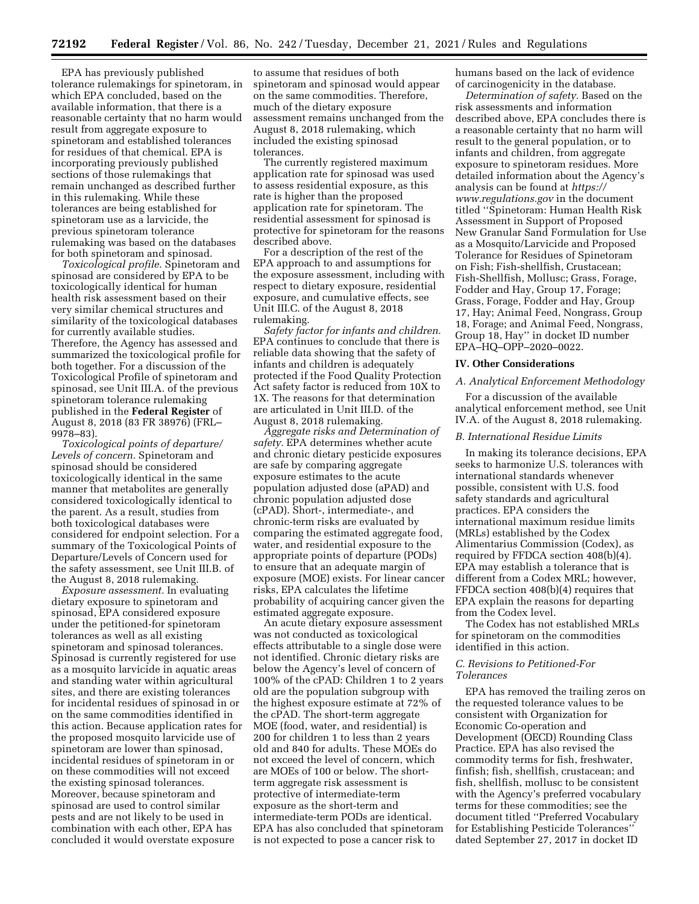EPA has previously published tolerance rulemakings for spinetoram, in which EPA concluded, based on the available information, that there is a reasonable certainty that no harm would result from aggregate exposure to spinetoram and established tolerances for residues of that chemical. EPA is incorporating previously published sections of those rulemakings that remain unchanged as described further in this rulemaking. While these tolerances are being established for spinetoram use as a larvicide, the previous spinetoram tolerance rulemaking was based on the databases for both spinetoram and spinosad.

*Toxicological profile.* Spinetoram and spinosad are considered by EPA to be toxicologically identical for human health risk assessment based on their very similar chemical structures and similarity of the toxicological databases for currently available studies. Therefore, the Agency has assessed and summarized the toxicological profile for both together. For a discussion of the Toxicological Profile of spinetoram and spinosad, see Unit III.A. of the previous spinetoram tolerance rulemaking published in the **Federal Register** of August 8, 2018 (83 FR 38976) (FRL– 9978–83).

*Toxicological points of departure/ Levels of concern.* Spinetoram and spinosad should be considered toxicologically identical in the same manner that metabolites are generally considered toxicologically identical to the parent. As a result, studies from both toxicological databases were considered for endpoint selection. For a summary of the Toxicological Points of Departure/Levels of Concern used for the safety assessment, see Unit III.B. of the August 8, 2018 rulemaking.

*Exposure assessment.* In evaluating dietary exposure to spinetoram and spinosad, EPA considered exposure under the petitioned-for spinetoram tolerances as well as all existing spinetoram and spinosad tolerances. Spinosad is currently registered for use as a mosquito larvicide in aquatic areas and standing water within agricultural sites, and there are existing tolerances for incidental residues of spinosad in or on the same commodities identified in this action. Because application rates for the proposed mosquito larvicide use of spinetoram are lower than spinosad, incidental residues of spinetoram in or on these commodities will not exceed the existing spinosad tolerances. Moreover, because spinetoram and spinosad are used to control similar pests and are not likely to be used in combination with each other, EPA has concluded it would overstate exposure

to assume that residues of both spinetoram and spinosad would appear on the same commodities. Therefore, much of the dietary exposure assessment remains unchanged from the August 8, 2018 rulemaking, which included the existing spinosad tolerances.

The currently registered maximum application rate for spinosad was used to assess residential exposure, as this rate is higher than the proposed application rate for spinetoram. The residential assessment for spinosad is protective for spinetoram for the reasons described above.

For a description of the rest of the EPA approach to and assumptions for the exposure assessment, including with respect to dietary exposure, residential exposure, and cumulative effects, see Unit III.C. of the August 8, 2018 rulemaking.

*Safety factor for infants and children.*  EPA continues to conclude that there is reliable data showing that the safety of infants and children is adequately protected if the Food Quality Protection Act safety factor is reduced from 10X to 1X. The reasons for that determination are articulated in Unit III.D. of the August 8, 2018 rulemaking.

*Aggregate risks and Determination of safety.* EPA determines whether acute and chronic dietary pesticide exposures are safe by comparing aggregate exposure estimates to the acute population adjusted dose (aPAD) and chronic population adjusted dose (cPAD). Short-, intermediate-, and chronic-term risks are evaluated by comparing the estimated aggregate food, water, and residential exposure to the appropriate points of departure (PODs) to ensure that an adequate margin of exposure (MOE) exists. For linear cancer risks, EPA calculates the lifetime probability of acquiring cancer given the estimated aggregate exposure.

An acute dietary exposure assessment was not conducted as toxicological effects attributable to a single dose were not identified. Chronic dietary risks are below the Agency's level of concern of 100% of the cPAD: Children 1 to 2 years old are the population subgroup with the highest exposure estimate at 72% of the cPAD. The short-term aggregate MOE (food, water, and residential) is 200 for children 1 to less than 2 years old and 840 for adults. These MOEs do not exceed the level of concern, which are MOEs of 100 or below. The shortterm aggregate risk assessment is protective of intermediate-term exposure as the short-term and intermediate-term PODs are identical. EPA has also concluded that spinetoram is not expected to pose a cancer risk to

humans based on the lack of evidence of carcinogenicity in the database.

*Determination of safety.* Based on the risk assessments and information described above, EPA concludes there is a reasonable certainty that no harm will result to the general population, or to infants and children, from aggregate exposure to spinetoram residues. More detailed information about the Agency's analysis can be found at *[https://](https://www.regulations.gov) [www.regulations.gov](https://www.regulations.gov)* in the document titled ''Spinetoram: Human Health Risk Assessment in Support of Proposed New Granular Sand Formulation for Use as a Mosquito/Larvicide and Proposed Tolerance for Residues of Spinetoram on Fish; Fish-shellfish, Crustacean; Fish-Shellfish, Mollusc; Grass, Forage, Fodder and Hay, Group 17, Forage; Grass, Forage, Fodder and Hay, Group 17, Hay; Animal Feed, Nongrass, Group 18, Forage; and Animal Feed, Nongrass, Group 18, Hay'' in docket ID number EPA–HQ–OPP–2020–0022.

#### **IV. Other Considerations**

#### *A. Analytical Enforcement Methodology*

For a discussion of the available analytical enforcement method, see Unit IV.A. of the August 8, 2018 rulemaking.

#### *B. International Residue Limits*

In making its tolerance decisions, EPA seeks to harmonize U.S. tolerances with international standards whenever possible, consistent with U.S. food safety standards and agricultural practices. EPA considers the international maximum residue limits (MRLs) established by the Codex Alimentarius Commission (Codex), as required by FFDCA section 408(b)(4). EPA may establish a tolerance that is different from a Codex MRL; however, FFDCA section 408(b)(4) requires that EPA explain the reasons for departing from the Codex level.

The Codex has not established MRLs for spinetoram on the commodities identified in this action.

#### *C. Revisions to Petitioned-For Tolerances*

EPA has removed the trailing zeros on the requested tolerance values to be consistent with Organization for Economic Co-operation and Development (OECD) Rounding Class Practice. EPA has also revised the commodity terms for fish, freshwater, finfish; fish, shellfish, crustacean; and fish, shellfish, mollusc to be consistent with the Agency's preferred vocabulary terms for these commodities; see the document titled ''Preferred Vocabulary for Establishing Pesticide Tolerances'' dated September 27, 2017 in docket ID